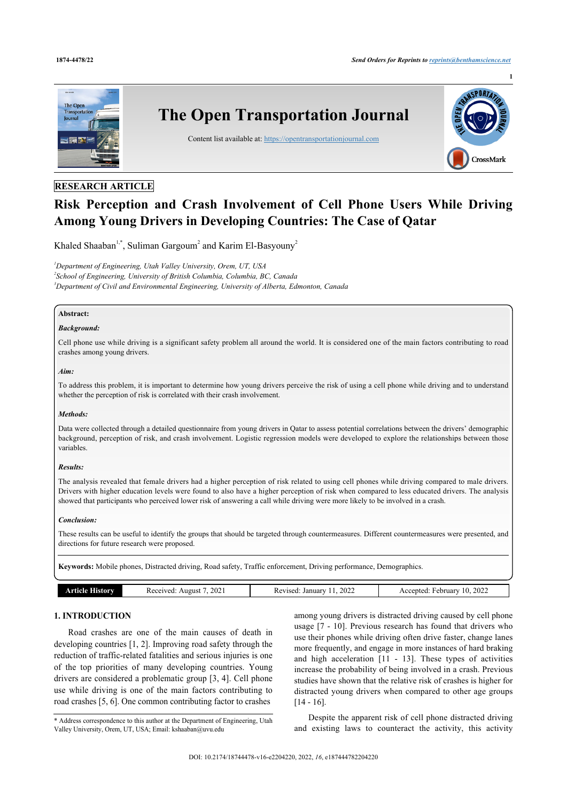**1**



## **RESEARCH ARTICLE**

# **Risk Perception and Crash Involvement of Cell Phone Users While Driving Among Young Drivers in Developing Countries: The Case of Qatar**

Khaled Shaaban<sup>[1,](#page-0-0)[\\*](#page-0-1)</sup>, Suliman Gargoum<sup>[2](#page-0-2)</sup> and Karim El-Basyouny<sup>2</sup>

<span id="page-0-2"></span><span id="page-0-0"></span>*<sup>1</sup>Department of Engineering, Utah Valley University, Orem, UT, USA 2 School of Engineering, University of British Columbia, Columbia, BC, Canada <sup>3</sup>Department of Civil and Environmental Engineering, University of Alberta, Edmonton, Canada*

## **Abstract:**

## *Background:*

Cell phone use while driving is a significant safety problem all around the world. It is considered one of the main factors contributing to road crashes among young drivers.

## *Aim:*

To address this problem, it is important to determine how young drivers perceive the risk of using a cell phone while driving and to understand whether the perception of risk is correlated with their crash involvement.

## *Methods:*

Data were collected through a detailed questionnaire from young drivers in Qatar to assess potential correlations between the drivers' demographic background, perception of risk, and crash involvement. Logistic regression models were developed to explore the relationships between those variables.

## *Results:*

The analysis revealed that female drivers had a higher perception of risk related to using cell phones while driving compared to male drivers. Drivers with higher education levels were found to also have a higher perception of risk when compared to less educated drivers. The analysis showed that participants who perceived lower risk of answering a call while driving were more likely to be involved in a crash.

## *Conclusion:*

These results can be useful to identify the groups that should be targeted through countermeasures. Different countermeasures were presented, and directions for future research were proposed.

**Keywords:** Mobile phones, Distracted driving, Road safety, Traffic enforcement, Driving performance, Demographics.

| 2021<br>2022<br>2022<br>January<br>Accented<br>Februarv<br>August<br>Revised:<br>10.<br>rtıcle<br>mw<br>nu. |
|-------------------------------------------------------------------------------------------------------------|
|-------------------------------------------------------------------------------------------------------------|

## **1. INTRODUCTION**

Road crashes are one of the main causes of death in developing countries [[1](#page-6-0), [2\]](#page-6-1). Improving road safety through the reduction of traffic-related fatalities and serious injuries is one of the top priorities of many developing countries. Young drivers are considered a problematic group [\[3,](#page-6-2) [4](#page-6-3)]. Cell phone use while driving is one of the main factors contributing to road crashes [[5](#page-6-4), [6](#page-6-5)]. One common contributing factor to crashes

<span id="page-0-1"></span>\* Address correspondence to this author at the Department of Engineering, Utah Valley University, Orem, UT, USA; Email: [kshaaban@uvu.edu](mailto:kshaaban@uvu.edu)

among young drivers is distracted driving caused by cell phone usage [\[7](#page-6-6) - [10](#page-6-7)]. Previous research has found that drivers who use their phones while driving often drive faster, change lanes more frequently, and engage in more instances of hard braking and high acceleration[[11](#page-6-8) - [13\]](#page-6-9). These types of activities increase the probability of being involved in a crash. Previous studies have shown that the relative risk of crashes is higher for distracted young drivers when compared to other age groups [[14](#page-6-10) - [16](#page-6-11)].

Despite the apparent risk of cell phone distracted driving and existing laws to counteract the activity, this activity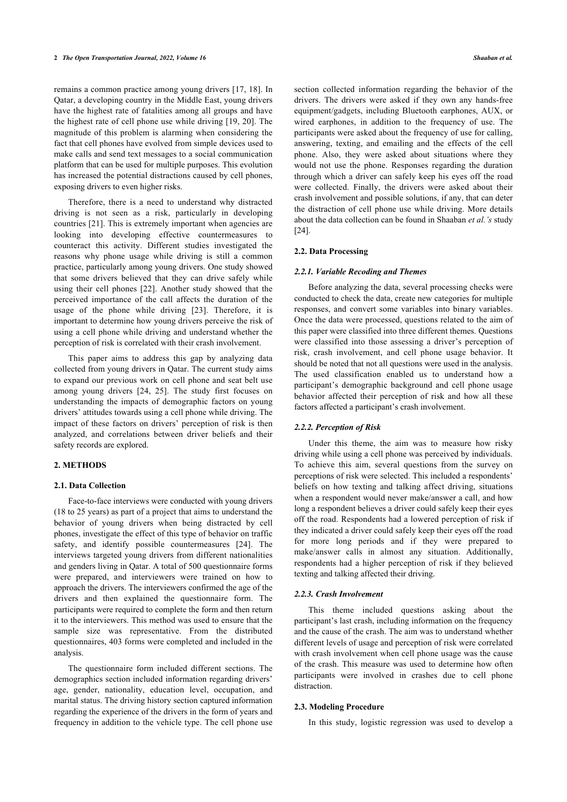remains a common practice among young drivers [[17](#page-6-12), [18\]](#page-6-13). In Qatar, a developing country in the Middle East, young drivers have the highest rate of fatalities among all groups and have the highest rate of cell phone use while driving [\[19](#page-6-14), [20\]](#page-6-15). The magnitude of this problem is alarming when considering the fact that cell phones have evolved from simple devices used to make calls and send text messages to a social communication platform that can be used for multiple purposes. This evolution has increased the potential distractions caused by cell phones, exposing drivers to even higher risks.

Therefore, there is a need to understand why distracted driving is not seen as a risk, particularly in developing countries [[21](#page-6-16)]. This is extremely important when agencies are looking into developing effective countermeasures to counteract this activity. Different studies investigated the reasons why phone usage while driving is still a common practice, particularly among young drivers. One study showed that some drivers believed that they can drive safely while using their cell phones [\[22\]](#page-6-17). Another study showed that the perceived importance of the call affects the duration of the usage of the phone while driving [\[23](#page-6-18)]. Therefore, it is important to determine how young drivers perceive the risk of using a cell phone while driving and understand whether the perception of risk is correlated with their crash involvement.

This paper aims to address this gap by analyzing data collected from young drivers in Qatar. The current study aims to expand our previous work on cell phone and seat belt use among young drivers[[24](#page-6-19), [25](#page-6-20)]. The study first focuses on understanding the impacts of demographic factors on young drivers' attitudes towards using a cell phone while driving. The impact of these factors on drivers' perception of risk is then analyzed, and correlations between driver beliefs and their safety records are explored.

## **2. METHODS**

#### **2.1. Data Collection**

Face-to-face interviews were conducted with young drivers (18 to 25 years) as part of a project that aims to understand the behavior of young drivers when being distracted by cell phones, investigate the effect of this type of behavior on traffic safety, and identify possible countermeasures[[24](#page-6-19)]. The interviews targeted young drivers from different nationalities and genders living in Qatar. A total of 500 questionnaire forms were prepared, and interviewers were trained on how to approach the drivers. The interviewers confirmed the age of the drivers and then explained the questionnaire form. The participants were required to complete the form and then return it to the interviewers. This method was used to ensure that the sample size was representative. From the distributed questionnaires, 403 forms were completed and included in the analysis.

The questionnaire form included different sections. The demographics section included information regarding drivers' age, gender, nationality, education level, occupation, and marital status. The driving history section captured information regarding the experience of the drivers in the form of years and frequency in addition to the vehicle type. The cell phone use

section collected information regarding the behavior of the drivers. The drivers were asked if they own any hands-free equipment/gadgets, including Bluetooth earphones, AUX, or wired earphones, in addition to the frequency of use. The participants were asked about the frequency of use for calling, answering, texting, and emailing and the effects of the cell phone. Also, they were asked about situations where they would not use the phone. Responses regarding the duration through which a driver can safely keep his eyes off the road were collected. Finally, the drivers were asked about their crash involvement and possible solutions, if any, that can deter the distraction of cell phone use while driving. More details about the data collection can be found in Shaaban *et al.'s* study [[24\]](#page-6-19).

#### **2.2. Data Processing**

#### *2.2.1. Variable Recoding and Themes*

Before analyzing the data, several processing checks were conducted to check the data, create new categories for multiple responses, and convert some variables into binary variables. Once the data were processed, questions related to the aim of this paper were classified into three different themes. Questions were classified into those assessing a driver's perception of risk, crash involvement, and cell phone usage behavior. It should be noted that not all questions were used in the analysis. The used classification enabled us to understand how a participant's demographic background and cell phone usage behavior affected their perception of risk and how all these factors affected a participant's crash involvement.

#### *2.2.2. Perception of Risk*

Under this theme, the aim was to measure how risky driving while using a cell phone was perceived by individuals. To achieve this aim, several questions from the survey on perceptions of risk were selected. This included a respondents' beliefs on how texting and talking affect driving, situations when a respondent would never make/answer a call, and how long a respondent believes a driver could safely keep their eyes off the road. Respondents had a lowered perception of risk if they indicated a driver could safely keep their eyes off the road for more long periods and if they were prepared to make/answer calls in almost any situation. Additionally, respondents had a higher perception of risk if they believed texting and talking affected their driving.

## *2.2.3. Crash Involvement*

This theme included questions asking about the participant's last crash, including information on the frequency and the cause of the crash. The aim was to understand whether different levels of usage and perception of risk were correlated with crash involvement when cell phone usage was the cause of the crash. This measure was used to determine how often participants were involved in crashes due to cell phone distraction.

## **2.3. Modeling Procedure**

In this study, logistic regression was used to develop a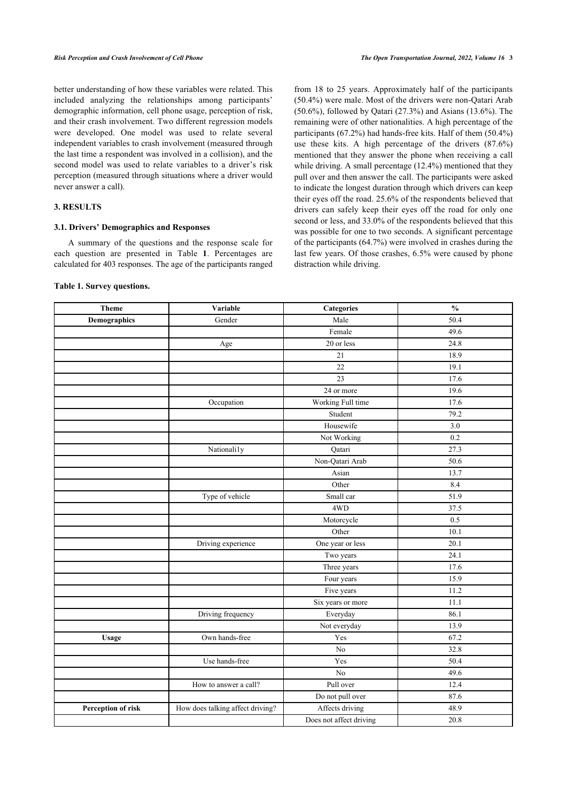better understanding of how these variables were related. This included analyzing the relationships among participants' demographic information, cell phone usage, perception of risk, and their crash involvement. Two different regression models were developed. One model was used to relate several independent variables to crash involvement (measured through the last time a respondent was involved in a collision), and the second model was used to relate variables to a driver's risk perception (measured through situations where a driver would never answer a call).

## **3. RESULTS**

## **3.1. Drivers' Demographics and Responses**

A summary of the questions and the response scale for each question are presented in Table**1**. Percentages are calculated for 403 responses. The age of the participants ranged

## <span id="page-2-0"></span>**Table 1. Survey questions.**

from 18 to 25 years. Approximately half of the participants (50.4%) were male. Most of the drivers were non-Qatari Arab (50.6%), followed by Qatari (27.3%) and Asians (13.6%). The remaining were of other nationalities. A high percentage of the participants (67.2%) had hands-free kits. Half of them (50.4%) use these kits. A high percentage of the drivers (87.6%) mentioned that they answer the phone when receiving a call while driving. A small percentage (12.4%) mentioned that they pull over and then answer the call. The participants were asked to indicate the longest duration through which drivers can keep their eyes off the road. 25.6% of the respondents believed that drivers can safely keep their eyes off the road for only one second or less, and 33.0% of the respondents believed that this was possible for one to two seconds. A significant percentage of the participants (64.7%) were involved in crashes during the last few years. Of those crashes, 6.5% were caused by phone distraction while driving.

| <b>Theme</b>        | Variable                         | Categories              | $\frac{6}{6}$ |
|---------------------|----------------------------------|-------------------------|---------------|
| <b>Demographics</b> | Gender                           | Male                    | 50.4          |
|                     |                                  | Female                  | 49.6          |
|                     | Age                              | 20 or less              | 24.8          |
|                     |                                  | 21                      | 18.9          |
|                     |                                  | 22                      | 19.1          |
|                     |                                  | 23                      | 17.6          |
|                     |                                  | 24 or more              | 19.6          |
|                     | Occupation                       | Working Full time       | 17.6          |
|                     |                                  | Student                 | 79.2          |
|                     |                                  | Housewife               | 3.0           |
|                     |                                  | Not Working             | 0.2           |
|                     | Nationali1y                      | Qatari                  | 27.3          |
|                     |                                  | Non-Qatari Arab         | 50.6          |
|                     |                                  | Asian                   | 13.7          |
|                     |                                  | Other                   | 8.4           |
|                     | Type of vehicle                  | Small car               | 51.9          |
|                     |                                  | 4WD                     | 37.5          |
|                     |                                  | Motorcycle              | 0.5           |
|                     |                                  | Other                   | 10.1          |
|                     | Driving experience               | One year or less        | 20.1          |
|                     |                                  | Two years               | 24.1          |
|                     |                                  | Three years             | 17.6          |
|                     |                                  | Four years              | 15.9          |
|                     |                                  | Five years              | 11.2          |
|                     |                                  | Six years or more       | 11.1          |
|                     | Driving frequency                | Everyday                | 86.1          |
|                     |                                  | Not everyday            | 13.9          |
| <b>Usage</b>        | Own hands-free                   | Yes                     | 67.2          |
|                     |                                  | No                      | 32.8          |
|                     | Use hands-free                   | Yes                     | 50.4          |
|                     |                                  | No                      | 49.6          |
|                     | How to answer a call?            | Pull over               | 12.4          |
|                     |                                  | Do not pull over        | 87.6          |
| Perception of risk  | How does talking affect driving? | Affects driving         | 48.9          |
|                     |                                  | Does not affect driving | 20.8          |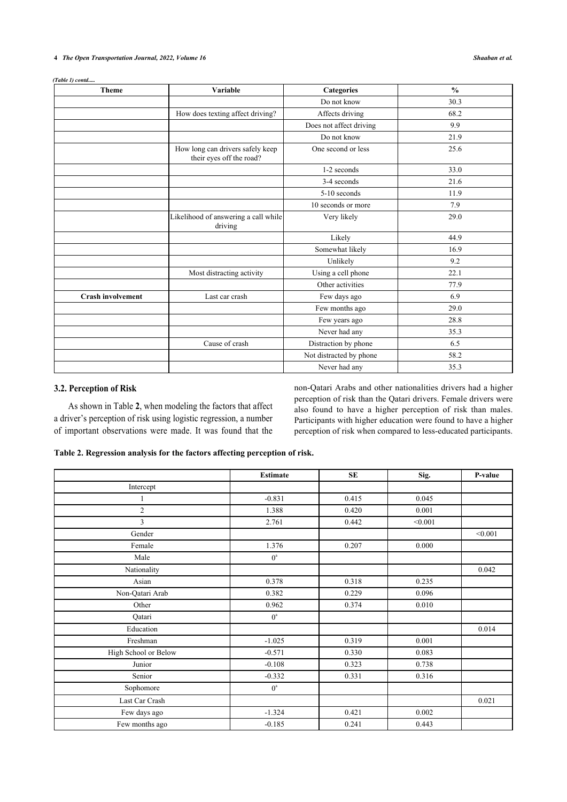## **4** *The Open Transportation Journal, 2022, Volume 16 Shaaban et al.*

*(Table 1) contd.....*

| <b>Theme</b>             | Variable                                                     | <b>Categories</b>       | $\frac{0}{0}$ |
|--------------------------|--------------------------------------------------------------|-------------------------|---------------|
|                          |                                                              | Do not know             | 30.3          |
|                          | How does texting affect driving?                             | Affects driving         | 68.2          |
|                          |                                                              | Does not affect driving | 9.9           |
|                          |                                                              | Do not know             | 21.9          |
|                          | How long can drivers safely keep<br>their eyes off the road? | One second or less      | 25.6          |
|                          |                                                              | 1-2 seconds             | 33.0          |
|                          |                                                              | 3-4 seconds             | 21.6          |
|                          |                                                              | 5-10 seconds            | 11.9          |
|                          |                                                              | 10 seconds or more      | 7.9           |
|                          | Likelihood of answering a call while<br>driving              | Very likely             | 29.0          |
|                          |                                                              | Likely                  | 44.9          |
|                          |                                                              | Somewhat likely         | 16.9          |
|                          |                                                              | Unlikely                | 9.2           |
|                          | Most distracting activity                                    | Using a cell phone      | 22.1          |
|                          |                                                              | Other activities        | 77.9          |
| <b>Crash involvement</b> | Last car crash                                               | Few days ago            | 6.9           |
|                          |                                                              | Few months ago          | 29.0          |
|                          |                                                              | Few years ago           | 28.8          |
|                          |                                                              | Never had any           | 35.3          |
|                          | Cause of crash                                               | Distraction by phone    | 6.5           |
|                          |                                                              | Not distracted by phone | 58.2          |
|                          |                                                              | Never had any           | 35.3          |

## **3.2. Perception of Risk**

As shown in Table **[2](#page-3-0)**, when modeling the factors that affect a driver's perception of risk using logistic regression, a number of important observations were made. It was found that the non-Qatari Arabs and other nationalities drivers had a higher perception of risk than the Qatari drivers. Female drivers were also found to have a higher perception of risk than males. Participants with higher education were found to have a higher perception of risk when compared to less-educated participants.

<span id="page-3-0"></span>

|                      | <b>Estimate</b>  | <b>SE</b> | Sig.    | P-value |
|----------------------|------------------|-----------|---------|---------|
| Intercept            |                  |           |         |         |
| 1                    | $-0.831$         | 0.415     | 0.045   |         |
| $\overline{c}$       | 1.388            | 0.420     | 0.001   |         |
| 3                    | 2.761            | 0.442     | < 0.001 |         |
| Gender               |                  |           |         | < 0.001 |
| Female               | 1.376            | 0.207     | 0.000   |         |
| Male                 | $0^a$            |           |         |         |
| Nationality          |                  |           |         | 0.042   |
| Asian                | 0.378            | 0.318     | 0.235   |         |
| Non-Qatari Arab      | 0.382            | 0.229     | 0.096   |         |
| Other                | 0.962            | 0.374     | 0.010   |         |
| Qatari               | $0^a$            |           |         |         |
| Education            |                  |           |         | 0.014   |
| Freshman             | $-1.025$         | 0.319     | 0.001   |         |
| High School or Below | $-0.571$         | 0.330     | 0.083   |         |
| Junior               | $-0.108$         | 0.323     | 0.738   |         |
| Senior               | $-0.332$         | 0.331     | 0.316   |         |
| Sophomore            | $0^{\mathrm{a}}$ |           |         |         |
| Last Car Crash       |                  |           |         | 0.021   |
| Few days ago         | $-1.324$         | 0.421     | 0.002   |         |
| Few months ago       | $-0.185$         | 0.241     | 0.443   |         |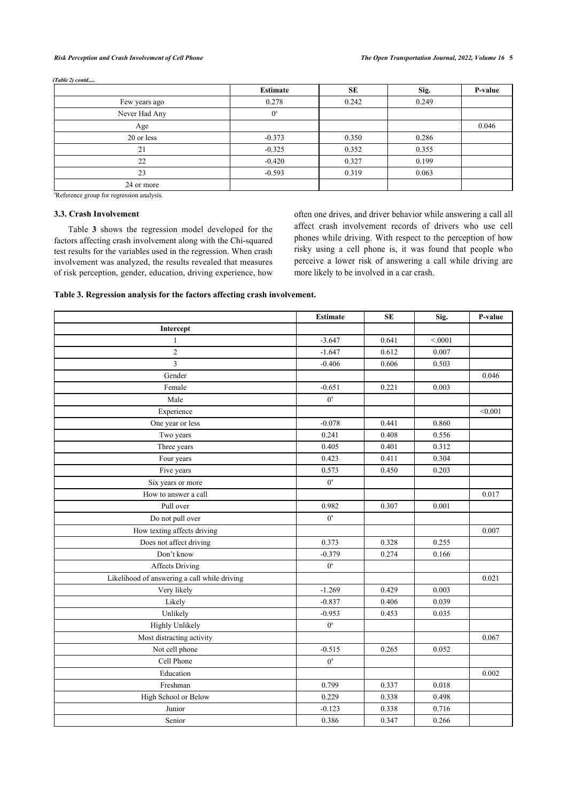#### *Risk Perception and Crash Involvement of Cell Phone The Open Transportation Journal, 2022, Volume 16* **5**

|               | <b>Estimate</b> | <b>SE</b> | Sig.  | P-value |
|---------------|-----------------|-----------|-------|---------|
| Few years ago | 0.278           | 0.242     | 0.249 |         |
| Never Had Any | $0^{\circ}$     |           |       |         |
| Age           |                 |           |       | 0.046   |
| 20 or less    | $-0.373$        | 0.350     | 0.286 |         |
| 21            | $-0.325$        | 0.352     | 0.355 |         |
| 22            | $-0.420$        | 0.327     | 0.199 |         |
| 23            | $-0.593$        | 0.319     | 0.063 |         |
| 24 or more    |                 |           |       |         |

*(Table 2) contd.....*

<sup>a</sup>Reference group for regression analysis.

## **3.3. Crash Involvement**

Table**3** shows the regression model developed for the factors affecting crash involvement along with the Chi-squared test results for the variables used in the regression. When crash involvement was analyzed, the results revealed that measures of risk perception, gender, education, driving experience, how

often one drives, and driver behavior while answering a call all affect crash involvement records of drivers who use cell phones while driving. With respect to the perception of how risky using a cell phone is, it was found that people who perceive a lower risk of answering a call while driving are more likely to be involved in a car crash.

## <span id="page-4-0"></span>**Table 3. Regression analysis for the factors affecting crash involvement.**

|                                              | <b>Estimate</b>  | <b>SE</b> | Sig.   | P-value |
|----------------------------------------------|------------------|-----------|--------|---------|
| Intercept                                    |                  |           |        |         |
| 1                                            | $-3.647$         | 0.641     | < 0001 |         |
| $\overline{c}$                               | $-1.647$         | 0.612     | 0.007  |         |
| 3                                            | $-0.406$         | 0.606     | 0.503  |         |
| Gender                                       |                  |           |        | 0.046   |
| Female                                       | $-0.651$         | 0.221     | 0.003  |         |
| Male                                         | $0^{\mathrm{a}}$ |           |        |         |
| Experience                                   |                  |           |        | < 0.001 |
| One year or less                             | $-0.078$         | 0.441     | 0.860  |         |
| Two years                                    | 0.241            | 0.408     | 0.556  |         |
| Three years                                  | 0.405            | 0.401     | 0.312  |         |
| Four years                                   | 0.423            | 0.411     | 0.304  |         |
| Five years                                   | 0.573            | 0.450     | 0.203  |         |
| Six years or more                            | $0^a$            |           |        |         |
| How to answer a call                         |                  |           |        | 0.017   |
| Pull over                                    | 0.982            | 0.307     | 0.001  |         |
| Do not pull over                             | $0^{\mathrm{a}}$ |           |        |         |
| How texting affects driving                  |                  |           |        | 0.007   |
| Does not affect driving                      | 0.373            | 0.328     | 0.255  |         |
| Don't know                                   | $-0.379$         | 0.274     | 0.166  |         |
| <b>Affects Driving</b>                       | $0^{\mathrm{a}}$ |           |        |         |
| Likelihood of answering a call while driving |                  |           |        | 0.021   |
| Very likely                                  | $-1.269$         | 0.429     | 0.003  |         |
| Likely                                       | $-0.837$         | 0.406     | 0.039  |         |
| Unlikely                                     | $-0.953$         | 0.453     | 0.035  |         |
| <b>Highly Unlikely</b>                       | $0^a$            |           |        |         |
| Most distracting activity                    |                  |           |        | 0.067   |
| Not cell phone                               | $-0.515$         | 0.265     | 0.052  |         |
| Cell Phone                                   | $0^a$            |           |        |         |
| Education                                    |                  |           |        | 0.002   |
| Freshman                                     | 0.799            | 0.337     | 0.018  |         |
| High School or Below                         | 0.229            | 0.338     | 0.498  |         |
| Junior                                       | $-0.123$         | 0.338     | 0.716  |         |
| Senior                                       | 0.386            | 0.347     | 0.266  |         |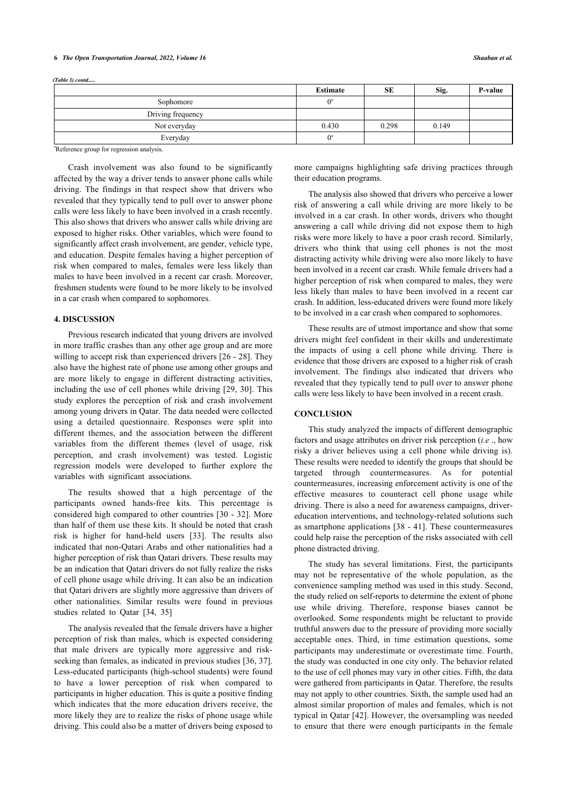#### **6** *The Open Transportation Journal, 2022, Volume 16 Shaaban et al.*

|                   | <b>Estimate</b> | <b>SE</b> | Sig.  | P-value |
|-------------------|-----------------|-----------|-------|---------|
| Sophomore         |                 |           |       |         |
| Driving frequency |                 |           |       |         |
| Not everyday      | 0.430           | 0.298     | 0.149 |         |
| Everyday          |                 |           |       |         |

<sup>a</sup>Reference group for regression analysis.

Crash involvement was also found to be significantly affected by the way a driver tends to answer phone calls while driving. The findings in that respect show that drivers who revealed that they typically tend to pull over to answer phone calls were less likely to have been involved in a crash recently. This also shows that drivers who answer calls while driving are exposed to higher risks. Other variables, which were found to significantly affect crash involvement, are gender, vehicle type, and education. Despite females having a higher perception of risk when compared to males, females were less likely than males to have been involved in a recent car crash. Moreover, freshmen students were found to be more likely to be involved in a car crash when compared to sophomores.

## **4. DISCUSSION**

Previous research indicated that young drivers are involved in more traffic crashes than any other age group and are more willing to accept risk than experienced drivers [\[26](#page-6-21) - [28\]](#page-7-0). They also have the highest rate of phone use among other groups and are more likely to engage in different distracting activities, including the use of cell phones while driving [[29,](#page-7-1) [30](#page-7-2)]. This study explores the perception of risk and crash involvement among young drivers in Qatar. The data needed were collected using a detailed questionnaire. Responses were split into different themes, and the association between the different variables from the different themes (level of usage, risk perception, and crash involvement) was tested. Logistic regression models were developed to further explore the variables with significant associations.

The results showed that a high percentage of the participants owned hands-free kits. This percentage is considered high compared to other countries [[30](#page-7-2) - [32](#page-7-3)]. More than half of them use these kits. It should be noted that crash risk is higher for hand-held users [\[33](#page-7-4)]. The results also indicated that non-Qatari Arabs and other nationalities had a higher perception of risk than Qatari drivers. These results may be an indication that Qatari drivers do not fully realize the risks of cell phone usage while driving. It can also be an indication that Qatari drivers are slightly more aggressive than drivers of other nationalities. Similar results were found in previous studies related to Qatar [\[34](#page-7-5), [35\]](#page-7-6)

The analysis revealed that the female drivers have a higher perception of risk than males, which is expected considering that male drivers are typically more aggressive and riskseeking than females, as indicated in previous studies [\[36](#page-7-7), [37](#page-7-1)]. Less-educated participants (high-school students) were found to have a lower perception of risk when compared to participants in higher education. This is quite a positive finding which indicates that the more education drivers receive, the more likely they are to realize the risks of phone usage while driving. This could also be a matter of drivers being exposed to

more campaigns highlighting safe driving practices through their education programs.

The analysis also showed that drivers who perceive a lower risk of answering a call while driving are more likely to be involved in a car crash. In other words, drivers who thought answering a call while driving did not expose them to high risks were more likely to have a poor crash record. Similarly, drivers who think that using cell phones is not the most distracting activity while driving were also more likely to have been involved in a recent car crash. While female drivers had a higher perception of risk when compared to males, they were less likely than males to have been involved in a recent car crash. In addition, less-educated drivers were found more likely to be involved in a car crash when compared to sophomores.

These results are of utmost importance and show that some drivers might feel confident in their skills and underestimate the impacts of using a cell phone while driving. There is evidence that those drivers are exposed to a higher risk of crash involvement. The findings also indicated that drivers who revealed that they typically tend to pull over to answer phone calls were less likely to have been involved in a recent crash.

## **CONCLUSION**

This study analyzed the impacts of different demographic factors and usage attributes on driver risk perception (*i.e* ., how risky a driver believes using a cell phone while driving is). These results were needed to identify the groups that should be targeted through countermeasures. As for potential countermeasures, increasing enforcement activity is one of the effective measures to counteract cell phone usage while driving. There is also a need for awareness campaigns, drivereducation interventions, and technology-related solutions such as smartphone applications [\[38](#page-7-8) - [41](#page-7-9)]. These countermeasures could help raise the perception of the risks associated with cell phone distracted driving.

The study has several limitations. First, the participants may not be representative of the whole population, as the convenience sampling method was used in this study. Second, the study relied on self-reports to determine the extent of phone use while driving. Therefore, response biases cannot be overlooked. Some respondents might be reluctant to provide truthful answers due to the pressure of providing more socially acceptable ones. Third, in time estimation questions, some participants may underestimate or overestimate time. Fourth, the study was conducted in one city only. The behavior related to the use of cell phones may vary in other cities. Fifth, the data were gathered from participants in Qatar. Therefore, the results may not apply to other countries. Sixth, the sample used had an almost similar proportion of males and females, which is not typical in Qatar [[42](#page-7-10)]. However, the oversampling was needed to ensure that there were enough participants in the female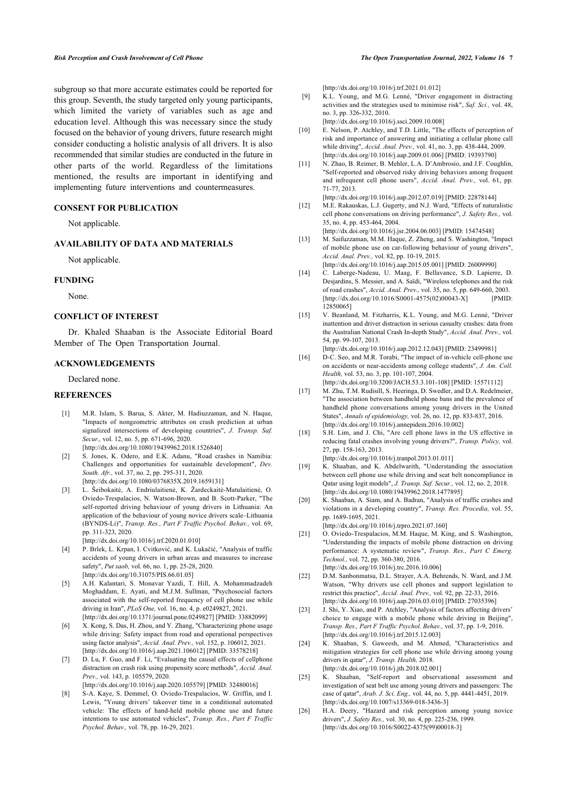#### *Risk Perception and Crash Involvement of Cell Phone The Open Transportation Journal, 2022, Volume 16* **7**

<span id="page-6-7"></span>subgroup so that more accurate estimates could be reported for this group. Seventh, the study targeted only young participants, which limited the variety of variables such as age and education level. Although this was necessary since the study focused on the behavior of young drivers, future research might consider conducting a holistic analysis of all drivers. It is also recommended that similar studies are conducted in the future in other parts of the world. Regardless of the limitations mentioned, the results are important in identifying and implementing future interventions and countermeasures.

## <span id="page-6-8"></span>**CONSENT FOR PUBLICATION**

Not applicable.

## <span id="page-6-9"></span>**AVAILABILITY OF DATA AND MATERIALS**

Not applicable.

## <span id="page-6-10"></span>**FUNDING**

None.

## **CONFLICT OF INTEREST**

Dr. Khaled Shaaban is the Associate Editorial Board Member of The Open Transportation Journal.

## <span id="page-6-11"></span>**ACKNOWLEDGEMENTS**

Declared none.

## <span id="page-6-12"></span><span id="page-6-0"></span>**REFERENCES**

- <span id="page-6-13"></span>[1] M.R. Islam, S. Barua, S. Akter, M. Hadiuzzaman, and N. Haque, "Impacts of nongeometric attributes on crash prediction at urban signalized intersections of developing countries", *J. Transp. Saf. Secur.,* vol. 12, no. 5, pp. 671-696, 2020. [\[http://dx.doi.org/10.1080/19439962.2018.1526840](http://dx.doi.org/10.1080/19439962.2018.1526840)]
- <span id="page-6-14"></span><span id="page-6-1"></span>[2] S. Jones, K. Odero, and E.K. Adanu, "Road crashes in Namibia: Challenges and opportunities for sustainable development", *Dev. South. Afr.,* vol. 37, no. 2, pp. 295-311, 2020. [\[http://dx.doi.org/10.1080/0376835X.2019.1659131\]](http://dx.doi.org/10.1080/0376835X.2019.1659131)
- <span id="page-6-15"></span><span id="page-6-2"></span>[3] L. Šeibokaitė, A. Endriulaitienė, K. Žardeckaitė-Matulaitienė, O. Oviedo-Trespalacios, N. Watson-Brown, and B. Scott-Parker, "The self-reported driving behaviour of young drivers in Lithuania: An application of the behaviour of young novice drivers scale–Lithuania (BYNDS-Li)", *Transp. Res., Part F Traffic Psychol. Behav.,* vol. 69, pp. 311-323, 2020.

[\[http://dx.doi.org/10.1016/j.trf.2020.01.010](http://dx.doi.org/10.1016/j.trf.2020.01.010)]

- <span id="page-6-16"></span><span id="page-6-3"></span>[4] P. Brlek, L. Krpan, I. Cvitković, and K. Lukačić, "Analysis of traffic accidents of young drivers in urban areas and measures to increase safety", *Put saob,* vol. 66, no. 1, pp. 25-28, 2020. [\[http://dx.doi.org/10.31075/PIS.66.01.05](http://dx.doi.org/10.31075/PIS.66.01.05)]
- <span id="page-6-17"></span><span id="page-6-4"></span>[5] A.H. Kalantari, S. Monavar Yazdi, T. Hill, A. Mohammadzadeh Moghaddam, E. Ayati, and M.J.M. Sullman, "Psychosocial factors associated with the self-reported frequency of cell phone use while driving in Iran", *PLoS One,* vol. 16, no. 4, p. e0249827, 2021. [\[http://dx.doi.org/10.1371/journal.pone.0249827\]](http://dx.doi.org/10.1371/journal.pone.0249827) [PMID: [33882099](http://www.ncbi.nlm.nih.gov/pubmed/33882099)]
- <span id="page-6-18"></span><span id="page-6-5"></span>[6] X. Kong, S. Das, H. Zhou, and Y. Zhang, "Characterizing phone usage while driving: Safety impact from road and operational perspectives using factor analysis", *Accid. Anal. Prev.,* vol. 152, p. 106012, 2021. [\[http://dx.doi.org/10.1016/j.aap.2021.106012](http://dx.doi.org/10.1016/j.aap.2021.106012)] [PMID: [33578218\]](http://www.ncbi.nlm.nih.gov/pubmed/33578218)
- <span id="page-6-20"></span><span id="page-6-19"></span><span id="page-6-6"></span>[7] D. Lu, F. Guo, and F. Li, "Evaluating the causal effects of cellphone distraction on crash risk using propensity score methods", *Accid. Anal. Prev.,* vol. 143, p. 105579, 2020. [\[http://dx.doi.org/10.1016/j.aap.2020.105579](http://dx.doi.org/10.1016/j.aap.2020.105579)] [PMID: [32480016\]](http://www.ncbi.nlm.nih.gov/pubmed/32480016)
- <span id="page-6-21"></span>[8] S-A. Kaye, S. Demmel, O. Oviedo-Trespalacios, W. Griffin, and I. Lewis, "Young drivers' takeover time in a conditional automated vehicle: The effects of hand-held mobile phone use and future intentions to use automated vehicles", *Transp. Res., Part F Traffic Psychol. Behav.,* vol. 78, pp. 16-29, 2021.

[\[http://dx.doi.org/10.1016/j.trf.2021.01.012\]](http://dx.doi.org/10.1016/j.trf.2021.01.012)

- [9] K.L. Young, and M.G. Lenné, "Driver engagement in distracting activities and the strategies used to minimise risk", *Saf. Sci.,* vol. 48, no. 3, pp. 326-332, 2010.
	- [\[http://dx.doi.org/10.1016/j.ssci.2009.10.008](http://dx.doi.org/10.1016/j.ssci.2009.10.008)]
- [10] E. Nelson, P. Atchley, and T.D. Little, "The effects of perception of risk and importance of answering and initiating a cellular phone call while driving", *Accid. Anal. Prev.,* vol. 41, no. 3, pp. 438-444, 2009. [\[http://dx.doi.org/10.1016/j.aap.2009.01.006\]](http://dx.doi.org/10.1016/j.aap.2009.01.006) [PMID: [19393790](http://www.ncbi.nlm.nih.gov/pubmed/19393790)]
- [11] N. Zhao, B. Reimer, B. Mehler, L.A. D'Ambrosio, and J.F. Coughlin, "Self-reported and observed risky driving behaviors among frequent and infrequent cell phone users", *Accid. Anal. Prev.,* vol. 61, pp. 71-77, 2013.

[\[http://dx.doi.org/10.1016/j.aap.2012.07.019\]](http://dx.doi.org/10.1016/j.aap.2012.07.019) [PMID: [22878144](http://www.ncbi.nlm.nih.gov/pubmed/22878144)]

- [12] M.E. Rakauskas, L.J. Gugerty, and N.J. Ward, "Effects of naturalistic cell phone conversations on driving performance", *J. Safety Res.,* vol. 35, no. 4, pp. 453-464, 2004.
- [\[http://dx.doi.org/10.1016/j.jsr.2004.06.003\]](http://dx.doi.org/10.1016/j.jsr.2004.06.003) [PMID: [15474548\]](http://www.ncbi.nlm.nih.gov/pubmed/15474548)
- [13] M. Saifuzzaman, M.M. Haque, Z. Zheng, and S. Washington, "Impact of mobile phone use on car-following behaviour of young drivers", *Accid. Anal. Prev.,* vol. 82, pp. 10-19, 2015. [\[http://dx.doi.org/10.1016/j.aap.2015.05.001\]](http://dx.doi.org/10.1016/j.aap.2015.05.001) [PMID: [26009990](http://www.ncbi.nlm.nih.gov/pubmed/26009990)]
- [14] C. Laberge-Nadeau, U. Maag, F. Bellavance, S.D. Lapierre, D. Desjardins, S. Messier, and A. Saïdi, "Wireless telephones and the risk of road crashes", *Accid. Anal. Prev.,* vol. 35, no. 5, pp. 649-660, 2003. [\[http://dx.doi.org/10.1016/S0001-4575\(02\)00043-X](http://dx.doi.org/10.1016/S0001-4575(02)00043-X)] [PMID: [12850065\]](http://www.ncbi.nlm.nih.gov/pubmed/12850065)
- [15] V. Beanland, M. Fitzharris, K.L. Young, and M.G. Lenné, "Driver inattention and driver distraction in serious casualty crashes: data from the Australian National Crash In-depth Study", *Accid. Anal. Prev.,* vol. 54, pp. 99-107, 2013.
- [\[http://dx.doi.org/10.1016/j.aap.2012.12.043\]](http://dx.doi.org/10.1016/j.aap.2012.12.043) [PMID: [23499981](http://www.ncbi.nlm.nih.gov/pubmed/23499981)] [16] D-C. Seo, and M.R. Torabi, "The impact of in-vehicle cell-phone use on accidents or near-accidents among college students", *J. Am. Coll. Health,* vol. 53, no. 3, pp. 101-107, 2004.
- [\[http://dx.doi.org/10.3200/JACH.53.3.101-108](http://dx.doi.org/10.3200/JACH.53.3.101-108)] [PMID: [15571112\]](http://www.ncbi.nlm.nih.gov/pubmed/15571112)
- [17] M. Zhu, T.M. Rudisill, S. Heeringa, D. Swedler, and D.A. Redelmeier, "The association between handheld phone bans and the prevalence of handheld phone conversations among young drivers in the United States", *Annals of epidemiology,* vol. 26, no. 12, pp. 833-837, 2016. [\[http://dx.doi.org/10.1016/j.annepidem.2016.10.002\]](http://dx.doi.org/10.1016/j.annepidem.2016.10.002)
- [18] S.H. Lim, and J. Chi, "Are cell phone laws in the US effective in reducing fatal crashes involving young drivers?", *Transp. Policy,* vol. 27, pp. 158-163, 2013. [\[http://dx.doi.org/10.1016/j.tranpol.2013.01.011\]](http://dx.doi.org/10.1016/j.tranpol.2013.01.011)
- [19] K. Shaaban, and K. Abdelwarith, "Understanding the association between cell phone use while driving and seat belt noncompliance in Qatar using logit models", *J. Transp. Saf. Secur.,* vol. 12, no. 2, 2018. [\[http://dx.doi.org/10.1080/19439962.2018.1477895](http://dx.doi.org/10.1080/19439962.2018.1477895)]
- [20] K. Shaaban, A. Siam, and A. Badran, "Analysis of traffic crashes and violations in a developing country", *Transp. Res. Procedia,* vol. 55, pp. 1689-1695, 2021.
- [\[http://dx.doi.org/10.1016/j.trpro.2021.07.160\]](http://dx.doi.org/10.1016/j.trpro.2021.07.160) [21] O. Oviedo-Trespalacios, M.M. Haque, M. King, and S. Washington, "Understanding the impacts of mobile phone distraction on driving performance: A systematic review", *Transp. Res., Part C Emerg. Technol.,* vol. 72, pp. 360-380, 2016. [\[http://dx.doi.org/10.1016/j.trc.2016.10.006](http://dx.doi.org/10.1016/j.trc.2016.10.006)]
- [22] D.M. Sanbonmatsu, D.L. Strayer, A.A. Behrends, N. Ward, and J.M. Watson, "Why drivers use cell phones and support legislation to restrict this practice", *Accid. Anal. Prev.,* vol. 92, pp. 22-33, 2016. [\[http://dx.doi.org/10.1016/j.aap.2016.03.010\]](http://dx.doi.org/10.1016/j.aap.2016.03.010) [PMID: [27035396](http://www.ncbi.nlm.nih.gov/pubmed/27035396)]
- [23] J. Shi, Y. Xiao, and P. Atchley, "Analysis of factors affecting drivers' choice to engage with a mobile phone while driving in Beijing", *Transp. Res., Part F Traffic Psychol. Behav.,* vol. 37, pp. 1-9, 2016. [\[http://dx.doi.org/10.1016/j.trf.2015.12.003\]](http://dx.doi.org/10.1016/j.trf.2015.12.003)
- [24] K. Shaaban, S. Gaweesh, and M. Ahmed, "Characteristics and mitigation strategies for cell phone use while driving among young drivers in qatar", *J. Transp. Health,* 2018. [\[http://dx.doi.org/10.1016/j.jth.2018.02.001](http://dx.doi.org/10.1016/j.jth.2018.02.001)]
- [25] K. Shaaban, "Self-report and observational assessment and investigation of seat belt use among young drivers and passengers: The case of qatar", *Arab. J. Sci. Eng.,* vol. 44, no. 5, pp. 4441-4451, 2019. [\[http://dx.doi.org/10.1007/s13369-018-3436-3\]](http://dx.doi.org/10.1007/s13369-018-3436-3)
- [26] H.A. Deery, "Hazard and risk perception among young novice drivers", *J. Safety Res.,* vol. 30, no. 4, pp. 225-236, 1999. [\[http://dx.doi.org/10.1016/S0022-4375\(99\)00018-3\]](http://dx.doi.org/10.1016/S0022-4375(99)00018-3)